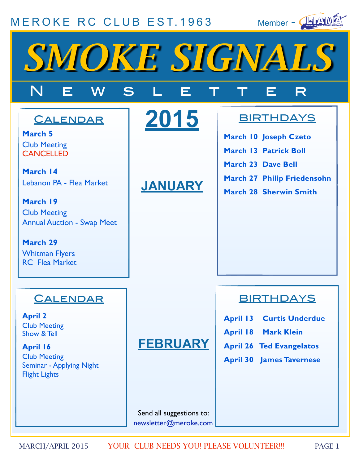#### [MEROKE RC CLUB](http://www.meroke.com) EST. 1963

Member - LANT



# **CALENDAR**

**March 5**  Club Meeting **CANCELLED** 

**March 14**  Lebanon PA - Flea Market

**March 19**  Club Meeting Annual Auction - Swap Meet

**March 29**  Whitman Flyers RC Flea Market

# **2015**

#### **JANUARY**

#### **BIRTHDAYS**

**March 10 Joseph Czeto March 13 Patrick Boll March 23 Dave Bell March 27 Philip Friedensohn March 28 Sherwin Smith**

#### **CALENDAR**

**April 2**  Club Meeting Show & Tell

**April 16**  Club Meeting Seminar - Applying Night Flight Lights

#### **FEBRUARY**

Send all suggestions to: [newsletter@meroke.com](mailto:newsletter@meroke.com)

#### **BIRTHDAYS**

- **April 13 Curtis Underdue**
- **April 18 Mark Klein**
- **April 26 Ted Evangelatos**
- **April 30 James Tavernese**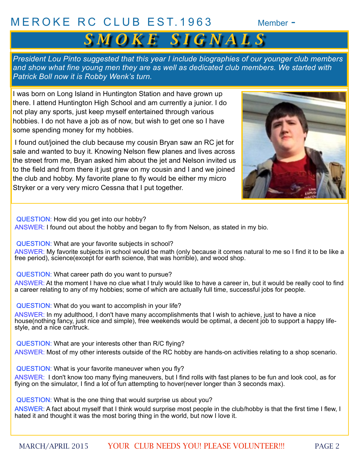### *S M O K E S I G N A L S*

*President Lou Pinto suggested that this year I include biographies of our younger club members and show what fine young men they are as well as dedicated club members. We started with Patrick Boll now it is Robby Wenk's turn.* 

I was born on Long Island in Huntington Station and have grown up there. I attend Huntington High School and am currently a junior. I do not play any sports, just keep myself entertained through various hobbies. I do not have a job as of now, but wish to get one so I have some spending money for my hobbies.

 I found out/joined the club because my cousin Bryan saw an RC jet for sale and wanted to buy it. Knowing Nelson flew planes and lives across the street from me, Bryan asked him about the jet and Nelson invited us to the field and from there it just grew on my cousin and I and we joined the club and hobby. My favorite plane to fly would be either my micro Stryker or a very very micro Cessna that I put together.



QUESTION: How did you get into our hobby?

ANSWER: I found out about the hobby and began to fly from Nelson, as stated in my bio.

QUESTION: What are your favorite subjects in school?

ANSWER: My favorite subjects in school would be math (only because it comes natural to me so I find it to be like a free period), science(except for earth science, that was horrible), and wood shop.

QUESTION: What career path do you want to pursue?

ANSWER: At the moment I have no clue what I truly would like to have a career in, but it would be really cool to find a career relating to any of my hobbies; some of which are actually full time, successful jobs for people.

QUESTION: What do you want to accomplish in your life?

ANSWER: In my adulthood, I don't have many accomplishments that I wish to achieve, just to have a nice house(nothing fancy, just nice and simple), free weekends would be optimal, a decent job to support a happy lifestyle, and a nice car/truck.

QUESTION: What are your interests other than R/C flying? ANSWER: Most of my other interests outside of the RC hobby are hands-on activities relating to a shop scenario.

QUESTION: What is your favorite maneuver when you fly?

ANSWER: I don't know too many flying maneuvers, but I find rolls with fast planes to be fun and look cool, as for flying on the simulator, I find a lot of fun attempting to hover (never longer than 3 seconds max).

QUESTION: What is the one thing that would surprise us about you?

ANSWER: A fact about myself that I think would surprise most people in the club/hobby is that the first time I flew, I hated it and thought it was the most boring thing in the world, but now I love it.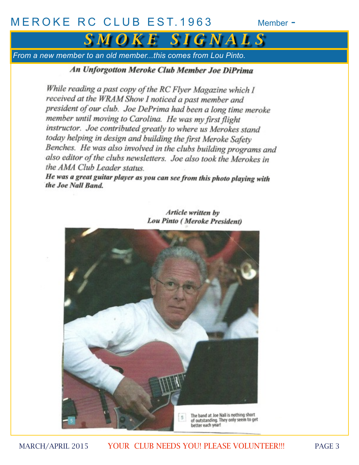### *S M O K E S I G N A L S*

*From a new member to an old member...this comes from Lou Pinto.*

#### An Unforgotton Meroke Club Member Joe DiPrima

While reading a past copy of the RC Flyer Magazine which I received at the WRAM Show I noticed a past member and president of our club. Joe DePrima had been a long time meroke member until moving to Carolina. He was my first flight instructor. Joe contributed greatly to where us Merokes stand today helping in design and building the first Meroke Safety Benches. He was also involved in the clubs building programs and also editor of the clubs newsletters. Joe also took the Merokes in the AMA Club Leader status.

He was a great guitar player as you can see from this photo playing with the Joe Nall Band.



Article written by Lou Pinto (Meroke President)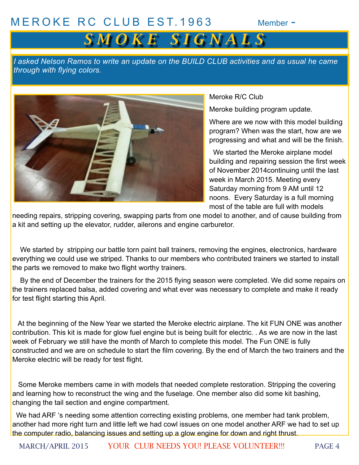### *S M O K E S I G N A L S*

*I asked Nelson Ramos to write an update on the BUILD CLUB activities and as usual he came through with flying colors.*



Meroke R/C Club

Meroke building program update.

Where are we now with this model building program? When was the start, how are we progressing and what and will be the finish.

 We started the Meroke airplane model building and repairing session the first week of November 2014continuing until the last week in March 2015. Meeting every Saturday morning from 9 AM until 12 noons. Every Saturday is a full morning most of the table are full with models

needing repairs, stripping covering, swapping parts from one model to another, and of cause building from a kit and setting up the elevator, rudder, ailerons and engine carburetor.

We started by stripping our battle torn paint ball trainers, removing the engines, electronics, hardware everything we could use we striped. Thanks to our members who contributed trainers we started to install the parts we removed to make two flight worthy trainers.

 By the end of December the trainers for the 2015 flying season were completed. We did some repairs on the trainers replaced balsa, added covering and what ever was necessary to complete and make it ready for test flight starting this April.

 At the beginning of the New Year we started the Meroke electric airplane. The kit FUN ONE was another contribution. This kit is made for glow fuel engine but is being built for electric. . As we are now in the last week of February we still have the month of March to complete this model. The Fun ONE is fully constructed and we are on schedule to start the film covering. By the end of March the two trainers and the Meroke electric will be ready for test flight.

 Some Meroke members came in with models that needed complete restoration. Stripping the covering and learning how to reconstruct the wing and the fuselage. One member also did some kit bashing, changing the tail section and engine compartment.

We had ARF 's needing some attention correcting existing problems, one member had tank problem, another had more right turn and little left we had cowl issues on one model another ARF we had to set up the computer radio, balancing issues and setting up a glow engine for down and right thrust.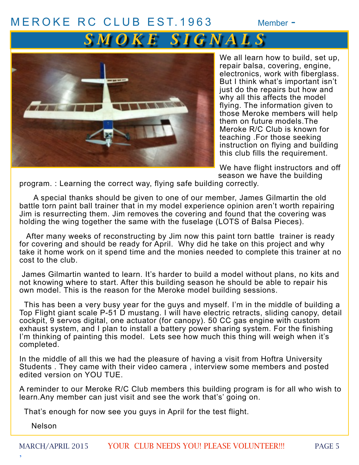### *S M O K E S I G N A L S*



We all learn how to build, set up, repair balsa, covering, engine, electronics, work with fiberglass. But I think what's important isn't just do the repairs but how and why all this affects the model flying. The information given to those Meroke members will help them on future models.The Meroke R/C Club is known for teaching .For those seeking instruction on flying and building this club fills the requirement.

We have flight instructors and off season we have the building

program. : Learning the correct way, flying safe building correctly.

 A special thanks should be given to one of our member, James Gilmartin the old battle torn paint ball trainer that in my model experience opinion aren't worth repairing Jim is resurrecting them. Jim removes the covering and found that the covering was holding the wing together the same with the fuselage (LOTS of Balsa Pieces).

 After many weeks of reconstructing by Jim now this paint torn battle trainer is ready for covering and should be ready for April. Why did he take on this project and why take it home work on it spend time and the monies needed to complete this trainer at no cost to the club.

 James Gilmartin wanted to learn. It's harder to build a model without plans, no kits and not knowing where to start. After this building season he should be able to repair his own model. This is the reason for the Meroke model building sessions.

 This has been a very busy year for the guys and myself. I'm in the middle of building a Top Flight giant scale P-51 D mustang. I will have electric retracts, sliding canopy, detail cockpit, 9 servos digital, one actuator (for canopy). 50 CC gas engine with custom exhaust system, and I plan to install a battery power sharing system. For the finishing I'm thinking of painting this model. Lets see how much this thing will weigh when it's completed.

In the middle of all this we had the pleasure of having a visit from Hoftra University Students . They came with their video camera , interview some members and posted edited version on YOU TUE.

A reminder to our Meroke R/C Club members this building program is for all who wish to learn.Any member can just visit and see the work that's' going on.

That's enough for now see you guys in April for the test flight.

Nelson

**,**